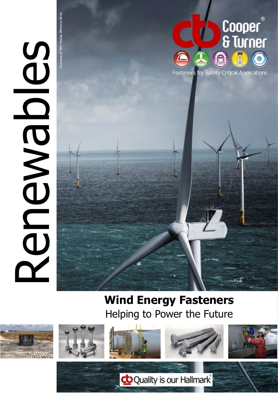

Courtesy of MHI Vestas Offshore Wind

esy of MHI Vestas Offshore Winc



### **Wind Energy Fasteners** Helping to Power the Future

co Quality is our Hallmark









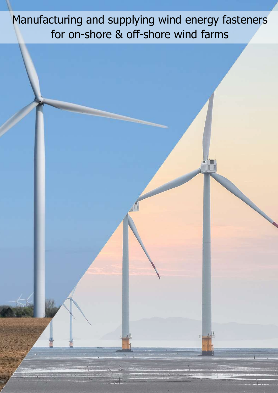Manufacturing and supplying wind energy fasteners for on-shore & off-shore wind farms

i pi

小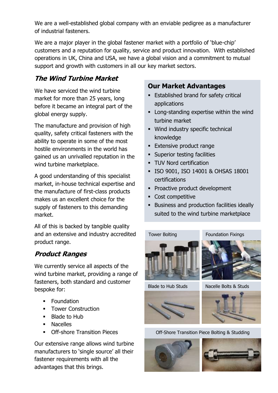We are a well-established global company with an enviable pedigree as a manufacturer of industrial fasteners.

We are a major player in the global fastener market with a portfolio of 'blue-chip' customers and a reputation for quality, service and product innovation. With established operations in UK, China and USA, we have a global vision and a commitment to mutual support and growth with customers in all our key market sectors.

### **The Wind Turbine Market**

We have serviced the wind turbine market for more than 25 years, long before it became an integral part of the global energy supply.

The manufacture and provision of high quality, safety critical fasteners with the ability to operate in some of the most hostile environments in the world has gained us an unrivalled reputation in the wind turbine marketplace.

A good understanding of this specialist market, in-house technical expertise and the manufacture of first-class products makes us an excellent choice for the supply of fasteners to this demanding market.

All of this is backed by tangible quality and an extensive and industry accredited product range.

### **Product Ranges**

We currently service all aspects of the wind turbine market, providing a range of fasteners, both standard and customer bespoke for:

- **•** Foundation
- **Tower Construction**
- Blade to Hub
- Nacelles
- **Off-shore Transition Pieces**

Our extensive range allows wind turbine manufacturers to 'single source' all their fastener requirements with all the advantages that this brings.

### **Our Market Advantages**

- **Established brand for safety critical** applications
- **EXEC** Long-standing expertise within the wind turbine market
- Wind industry specific technical knowledge
- **Extensive product range**
- **EXECUTE:** Superior testing facilities
- **· TUV Nord certification**
- ISO 9001, ISO 14001 & OHSAS 18001 certifications
- **Proactive product development**
- Cost competitive
- **EXECUTE:** Business and production facilities ideally suited to the wind turbine marketplace











Off-Shore Transition Piece Bolting & Studding



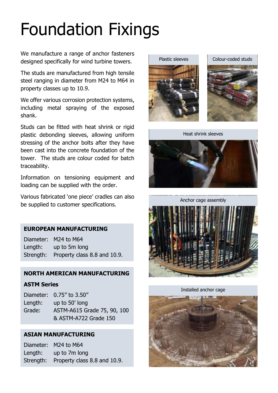# Foundation Fixings

We manufacture a range of anchor fasteners designed specifically for wind turbine towers.

The studs are manufactured from high tensile steel ranging in diameter from M24 to M64 in property classes up to 10.9.

We offer various corrosion protection systems, including metal spraying of the exposed shank.

Studs can be fitted with heat shrink or rigid plastic debonding sleeves, allowing uniform stressing of the anchor bolts after they have been cast into the concrete foundation of the tower. The studs are colour coded for batch traceability.

Information on tensioning equipment and loading can be supplied with the order.

Various fabricated 'one piece' cradles can also be supplied to customer specifications.

#### **EUROPEAN MANUFACTURING**

Diameter: M24 to M64 Length: up to 5m long Strength: Property class 8.8 and 10.9.

#### **NORTH AMERICAN MANUFACTURING**

#### **ASTM Series**

|         | Diameter: 0.75" to 3.50"    |
|---------|-----------------------------|
| Length: | up to 50' long              |
| Grade:  | ASTM-A615 Grade 75, 90, 100 |
|         | & ASTM-A722 Grade 150       |

#### **ASIAN MANUFACTURING**

Diameter: M24 to M64 Length: up to 7m long Strength: Property class 8.8 and 10.9.



Colour-coded studs



Heat shrink sleeves



Anchor cage assembly



Installed anchor cage

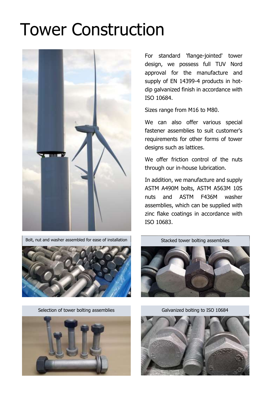### Tower Construction



Bolt, nut and washer assembled for ease of installation



Selection of tower bolting assemblies Galvanized bolting to ISO 10684



For standard 'flange-jointed' tower design, we possess full TUV Nord approval for the manufacture and supply of EN 14399-4 products in hotdip galvanized finish in accordance with ISO 10684.

Sizes range from M16 to M80.

We can also offer various special fastener assemblies to suit customer's requirements for other forms of tower designs such as lattices.

We offer friction control of the nuts through our in-house lubrication.

In addition, we manufacture and supply ASTM A490M bolts, ASTM A563M 10S nuts and ASTM F436M washer assemblies, which can be supplied with zinc flake coatings in accordance with ISO 10683.



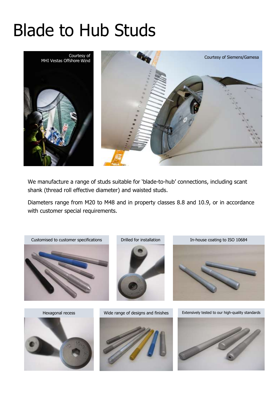# Blade to Hub Studs



We manufacture a range of studs suitable for 'blade-to-hub' connections, including scant shank (thread roll effective diameter) and waisted studs.

Diameters range from M20 to M48 and in property classes 8.8 and 10.9, or in accordance with customer special requirements.

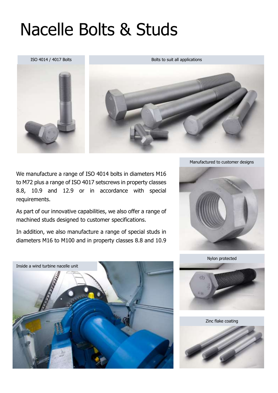## Nacelle Bolts & Studs

ISO 4014 / 4017 Bolts Bolts Bolts Bolts to suit all applications



We manufacture a range of ISO 4014 bolts in diameters M16 to M72 plus a range of ISO 4017 setscrews in property classes 8.8, 10.9 and 12.9 or in accordance with special requirements.

As part of our innovative capabilities, we also offer a range of machined studs designed to customer specifications.

In addition, we also manufacture a range of special studs in diameters M16 to M100 and in property classes 8.8 and 10.9







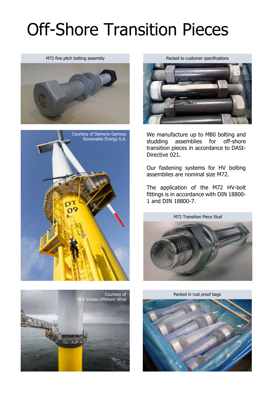# Off-Shore Transition Pieces

M72 fine pitch bolting assembly





Packed to customer specifications



We manufacture up to M80 bolting and studding assemblies for off-shore transition pieces in accordance to DASt-Directive 021.

Our fastening systems for HV bolting assemblies are nominal size M72.

The application of the M72 HV-bolt fittings is in accordance with DIN 18800- 1 and DIN 18800-7.







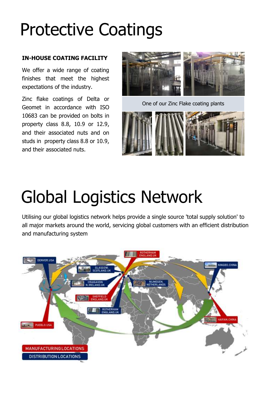# Protective Coatings

#### **IN-HOUSE COATING FACILITY**

We offer a wide range of coating finishes that meet the highest expectations of the industry.

Zinc flake coatings of Delta or Geomet in accordance with ISO 10683 can be provided on bolts in property class 8.8, 10.9 or 12.9, and their associated nuts and on studs in property class 8.8 or 10.9, and their associated nuts.



One of our Zinc Flake coating plants



## Global Logistics Network

Utilising our global logistics network helps provide a single source 'total supply solution' to all major markets around the world, servicing global customers with an efficient distribution and manufacturing system

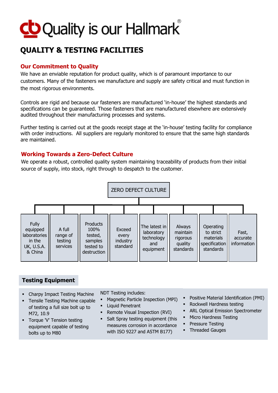

### **QUALITY & TESTING FACILITIES**

#### **Our Commitment to Quality**

We have an enviable reputation for product quality, which is of paramount importance to our customers. Many of the fasteners we manufacture and supply are safety critical and must function in the most rigorous environments.

Controls are rigid and because our fasteners are manufactured 'in-house' the highest standards and specifications can be guaranteed. Those fasteners that are manufactured elsewhere are extensively audited throughout their manufacturing processes and systems.

Further testing is carried out at the goods receipt stage at the 'in-house' testing facility for compliance with order instructions. All suppliers are regularly monitored to ensure that the same high standards are maintained.

#### **Working Towards a Zero-Defect Culture**

We operate a robust, controlled quality system maintaining traceability of products from their initial source of supply, into stock, right through to despatch to the customer.



### **Testing Equipment**

- Charpy Impact Testing Machine
- Tensile Testing Machine capable of testing a full size bolt up to M72, 10.9
- Torque 'V' Tension testing equipment capable of testing bolts up to M80
- NDT Testing includes:
- Magnetic Particle Inspection (MPI)
- Liquid Penetrant
- Remote Visual Inspection (RVI)
- **Salt Spray testing equipment (this** measures corrosion in accordance with ISO 9227 and ASTM B177)
- Positive Material Identification (PMI)
- Rockwell Hardness testing
- **ARL Optical Emission Spectrometer**
- **■** Micro Hardness Testing
- Pressure Testing
- **•** Threaded Gauges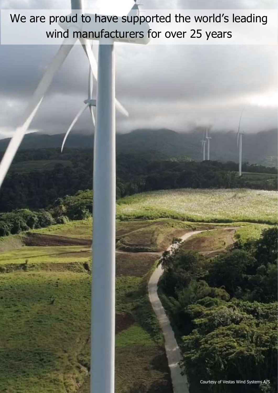We are proud to have supported the world's leading wind manufacturers for over 25 years